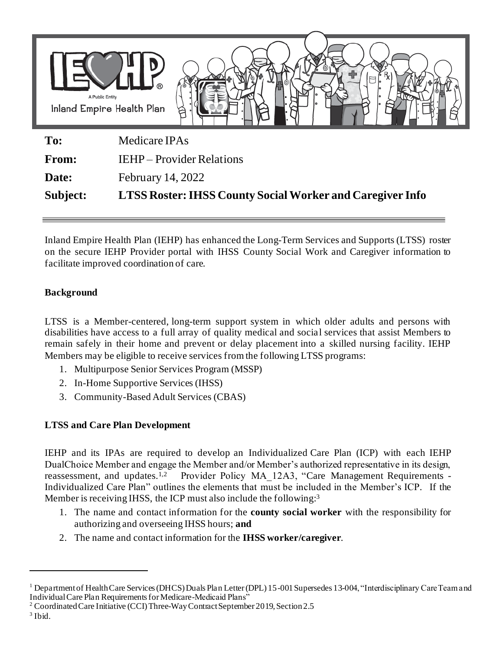

| Subject:     | <b>LTSS Roster: IHSS County Social Worker and Caregiver Info</b> |
|--------------|------------------------------------------------------------------|
| Date:        | <b>February 14, 2022</b>                                         |
| <b>From:</b> | IEHP – Provider Relations                                        |
| 10.          | McUlcale II AS                                                   |

Inland Empire Health Plan (IEHP) has enhanced the Long-Term Services and Supports (LTSS) roster on the secure IEHP Provider portal with IHSS County Social Work and Caregiver information to facilitate improved coordination of care.

## **Background**

LTSS is a Member-centered, long-term support system in which older adults and persons with disabilities have access to a full array of quality medical and social services that assist Members to remain safely in their home and prevent or delay placement into a skilled nursing facility. IEHP Members may be eligible to receive services from the following LTSS programs:

- 1. Multipurpose Senior Services Program (MSSP)
- 2. In-Home Supportive Services (IHSS)
- 3. Community-Based Adult Services (CBAS)

## **LTSS and Care Plan Development**

IEHP and its IPAs are required to develop an Individualized Care Plan (ICP) with each IEHP DualChoice Member and engage the Member and/or Member's authorized representative in its design, reassessment, and updates.1,2 Provider Policy MA\_12A3, "Care Management Requirements - Individualized Care Plan" outlines the elements that must be included in the Member's ICP. If the Member is receiving IHSS, the ICP must also include the following:<sup>3</sup>

- 1. The name and contact information for the **county social worker** with the responsibility for authorizing and overseeing IHSS hours; **and**
- 2. The name and contact information for the **IHSS worker/caregiver**.

<sup>1</sup> Department of Health Care Services (DHCS) Duals Plan Letter (DPL) 15-001 Supersedes 13-004, "Interdisciplinary Care Team and Individual Care Plan Requirements for Medicare-Medicaid Plans"

<sup>&</sup>lt;sup>2</sup> Coordinated Care Initiative (CCI) Three-Way Contract September 2019, Section 2.5